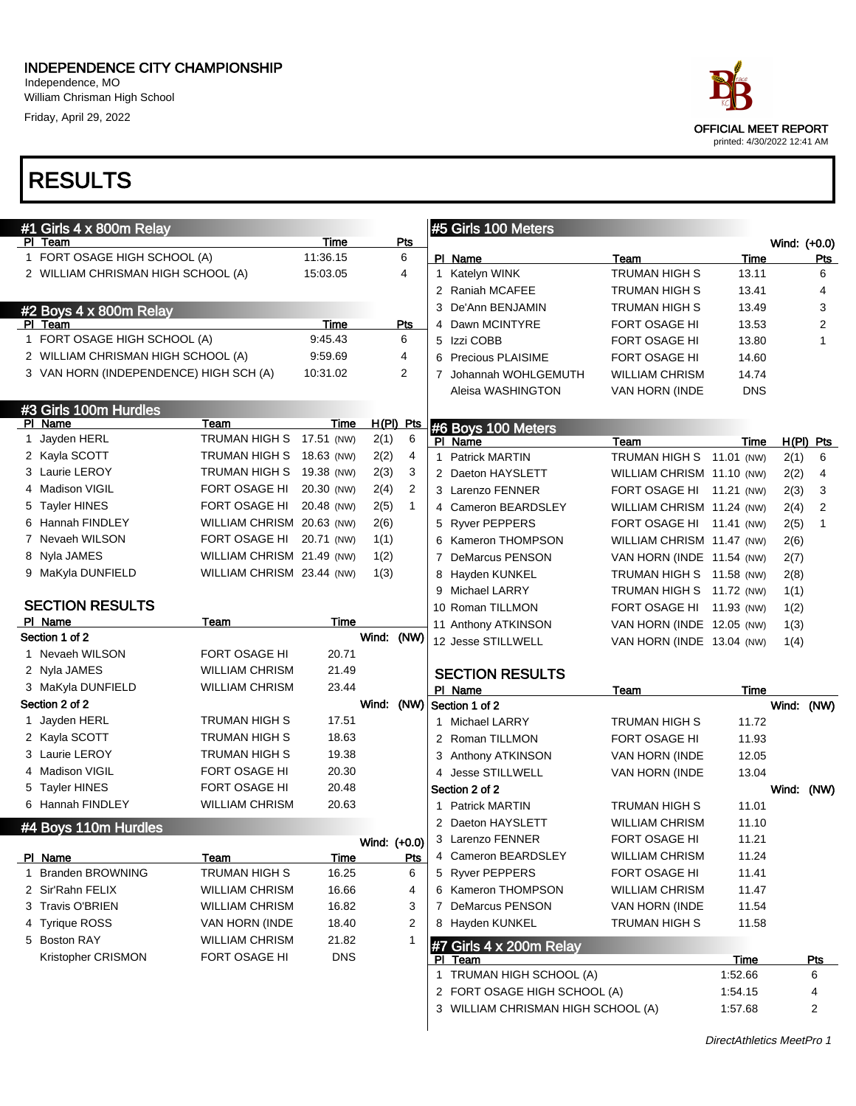William Chrisman High School Friday, April 29, 2022

| ace                                                        |
|------------------------------------------------------------|
| <b>OFFICIAL MEET REPORT</b><br>printed: 4/30/2022 12:41 AM |

| #1 Girls 4 x 800m Relay                |                           |             |              |           | #5 Girls 100 Meters                |                              |                |              |                 |
|----------------------------------------|---------------------------|-------------|--------------|-----------|------------------------------------|------------------------------|----------------|--------------|-----------------|
| PI Team                                |                           | Time        |              | Pts       |                                    |                              |                | Wind: (+0.0) |                 |
| 1 FORT OSAGE HIGH SCHOOL (A)           |                           | 11:36.15    |              | 6<br>4    | PI Name                            | Team<br><b>TRUMAN HIGH S</b> | Time           |              | <b>Pts</b><br>6 |
| 2 WILLIAM CHRISMAN HIGH SCHOOL (A)     |                           | 15:03.05    |              |           | 1 Katelyn WINK<br>2 Raniah MCAFEE  | <b>TRUMAN HIGH S</b>         | 13.11<br>13.41 |              | 4               |
|                                        |                           |             |              |           | 3 De'Ann BENJAMIN                  | <b>TRUMAN HIGH S</b>         | 13.49          |              | 3               |
| #2 Boys 4 x 800m Relay<br>PI Team      |                           | Time        |              | Pts       | 4 Dawn MCINTYRE                    | FORT OSAGE HI                | 13.53          |              | 2               |
| 1 FORT OSAGE HIGH SCHOOL (A)           |                           | 9:45.43     |              | 6         | 5 Izzi COBB                        | FORT OSAGE HI                | 13.80          |              | 1               |
| 2 WILLIAM CHRISMAN HIGH SCHOOL (A)     |                           | 9:59.69     |              | 4         | 6 Precious PLAISIME                | FORT OSAGE HI                | 14.60          |              |                 |
| 3 VAN HORN (INDEPENDENCE) HIGH SCH (A) |                           | 10:31.02    |              | 2         | 7 Johannah WOHLGEMUTH              | <b>WILLIAM CHRISM</b>        | 14.74          |              |                 |
|                                        |                           |             |              |           | Aleisa WASHINGTON                  | VAN HORN (INDE               | <b>DNS</b>     |              |                 |
| #3 Girls 100m Hurdles                  |                           |             |              |           |                                    |                              |                |              |                 |
| PI Name                                | Team                      | Time        |              | H(PI) Pts | #6 Boys 100 Meters                 |                              |                |              |                 |
| 1 Jayden HERL                          | TRUMAN HIGH S 17.51 (NW)  |             | 2(1)         | 6         | PI Name                            | Team                         | Time           |              | $H(PI)$ Pts     |
| 2 Kayla SCOTT                          | TRUMAN HIGH S 18.63 (NW)  |             | 2(2)         | 4         | 1 Patrick MARTIN                   | TRUMAN HIGH S 11.01 (NW)     |                | 2(1)         | 6               |
| 3 Laurie LEROY                         | TRUMAN HIGH S             | 19.38 (NW)  | 2(3)         | 3         | 2 Daeton HAYSLETT                  | WILLIAM CHRISM 11.10 (NW)    |                | 2(2)         | 4               |
| 4 Madison VIGIL                        | FORT OSAGE HI             | 20.30 (NW)  | 2(4)         | 2         | 3 Larenzo FENNER                   | FORT OSAGE HI 11.21 (NW)     |                | 2(3)         | 3               |
| 5 Tayler HINES                         | FORT OSAGE HI             | 20.48 (NW)  | 2(5)         | 1         | 4 Cameron BEARDSLEY                | WILLIAM CHRISM 11.24 (NW)    |                | 2(4)         | $\overline{2}$  |
| 6 Hannah FINDLEY                       | WILLIAM CHRISM 20.63 (NW) |             | 2(6)         |           | 5 Ryver PEPPERS                    | FORT OSAGE HI 11.41 (NW)     |                | 2(5)         | $\mathbf 1$     |
| 7 Nevaeh WILSON                        | FORT OSAGE HI             | 20.71 (NW)  | 1(1)         |           | 6 Kameron THOMPSON                 | WILLIAM CHRISM 11.47 (NW)    |                | 2(6)         |                 |
| 8 Nyla JAMES                           | WILLIAM CHRISM 21.49 (NW) |             | 1(2)         |           | 7 DeMarcus PENSON                  | VAN HORN (INDE 11.54 (NW)    |                | 2(7)         |                 |
| 9 MaKyla DUNFIELD                      | WILLIAM CHRISM 23.44 (NW) |             | 1(3)         |           | 8 Hayden KUNKEL                    | TRUMAN HIGH S 11.58 (NW)     |                | 2(8)         |                 |
|                                        |                           |             |              |           | 9 Michael LARRY                    | TRUMAN HIGH S 11.72 (NW)     |                | 1(1)         |                 |
| <b>SECTION RESULTS</b>                 |                           |             |              |           | 10 Roman TILLMON                   | FORT OSAGE HI 11.93 (NW)     |                | 1(2)         |                 |
| PI Name                                | Team                      | Time        |              |           | 11 Anthony ATKINSON                | VAN HORN (INDE 12.05 (NW)    |                | 1(3)         |                 |
| Section 1 of 2                         |                           |             | Wind: (NW)   |           | 12 Jesse STILLWELL                 | VAN HORN (INDE 13.04 (NW)    |                | 1(4)         |                 |
| 1 Nevaeh WILSON                        | <b>FORT OSAGE HI</b>      | 20.71       |              |           |                                    |                              |                |              |                 |
| 2 Nyla JAMES                           | <b>WILLIAM CHRISM</b>     | 21.49       |              |           | <b>SECTION RESULTS</b>             |                              |                |              |                 |
| 3 MaKyla DUNFIELD                      | <b>WILLIAM CHRISM</b>     | 23.44       |              |           | PI Name                            | Team                         | Time           |              |                 |
| Section 2 of 2                         |                           |             |              |           | Wind: (NW) Section 1 of 2          |                              |                | Wind: (NW)   |                 |
| 1 Jayden HERL                          | <b>TRUMAN HIGH S</b>      | 17.51       |              |           | 1 Michael LARRY                    | <b>TRUMAN HIGH S</b>         | 11.72          |              |                 |
| 2 Kayla SCOTT                          | <b>TRUMAN HIGH S</b>      | 18.63       |              |           | 2 Roman TILLMON                    | FORT OSAGE HI                | 11.93          |              |                 |
| 3 Laurie LEROY                         | <b>TRUMAN HIGH S</b>      | 19.38       |              |           | 3 Anthony ATKINSON                 | VAN HORN (INDE               | 12.05          |              |                 |
| 4 Madison VIGIL                        | FORT OSAGE HI             | 20.30       |              |           | 4 Jesse STILLWELL                  | VAN HORN (INDE               | 13.04          |              |                 |
| 5 Tayler HINES                         | FORT OSAGE HI             | 20.48       |              |           | Section 2 of 2                     |                              |                | Wind: (NW)   |                 |
| 6 Hannah FINDLEY                       | <b>WILLIAM CHRISM</b>     | 20.63       |              |           | 1 Patrick MARTIN                   | <b>TRUMAN HIGH S</b>         | 11.01          |              |                 |
| #4 Boys 110m Hurdles                   |                           |             |              |           | 2 Daeton HAYSLETT                  | <b>WILLIAM CHRISM</b>        | 11.10          |              |                 |
|                                        |                           |             | Wind: (+0.0) |           | 3 Larenzo FENNER                   | FORT OSAGE HI                | 11.21          |              |                 |
| PI Name                                | Team                      | <b>Time</b> |              | Pts       | 4 Cameron BEARDSLEY                | <b>WILLIAM CHRISM</b>        | 11.24          |              |                 |
| 1 Branden BROWNING                     | <b>TRUMAN HIGH S</b>      | 16.25       |              | 6         | 5 Ryver PEPPERS                    | FORT OSAGE HI                | 11.41          |              |                 |
| 2 Sir'Rahn FELIX                       | <b>WILLIAM CHRISM</b>     | 16.66       |              | 4         | 6 Kameron THOMPSON                 | <b>WILLIAM CHRISM</b>        | 11.47          |              |                 |
| 3 Travis O'BRIEN                       | <b>WILLIAM CHRISM</b>     | 16.82       |              | 3         | 7 DeMarcus PENSON                  | VAN HORN (INDE               | 11.54          |              |                 |
| 4 Tyrique ROSS                         | VAN HORN (INDE            | 18.40       |              | 2         | 8 Hayden KUNKEL                    | TRUMAN HIGH S                | 11.58          |              |                 |
| 5 Boston RAY                           | <b>WILLIAM CHRISM</b>     | 21.82       |              | 1         | #7 Girls 4 x 200m Relay            |                              |                |              |                 |
| Kristopher CRISMON                     | FORT OSAGE HI             | <b>DNS</b>  |              |           | PI Team                            |                              | Time           |              | <u>Pts</u>      |
|                                        |                           |             |              |           | 1 TRUMAN HIGH SCHOOL (A)           |                              | 1:52.66        |              | 6               |
|                                        |                           |             |              |           | 2 FORT OSAGE HIGH SCHOOL (A)       |                              | 1:54.15        |              | 4               |
|                                        |                           |             |              |           | 3 WILLIAM CHRISMAN HIGH SCHOOL (A) |                              | 1:57.68        |              | 2               |
|                                        |                           |             |              |           |                                    |                              |                |              |                 |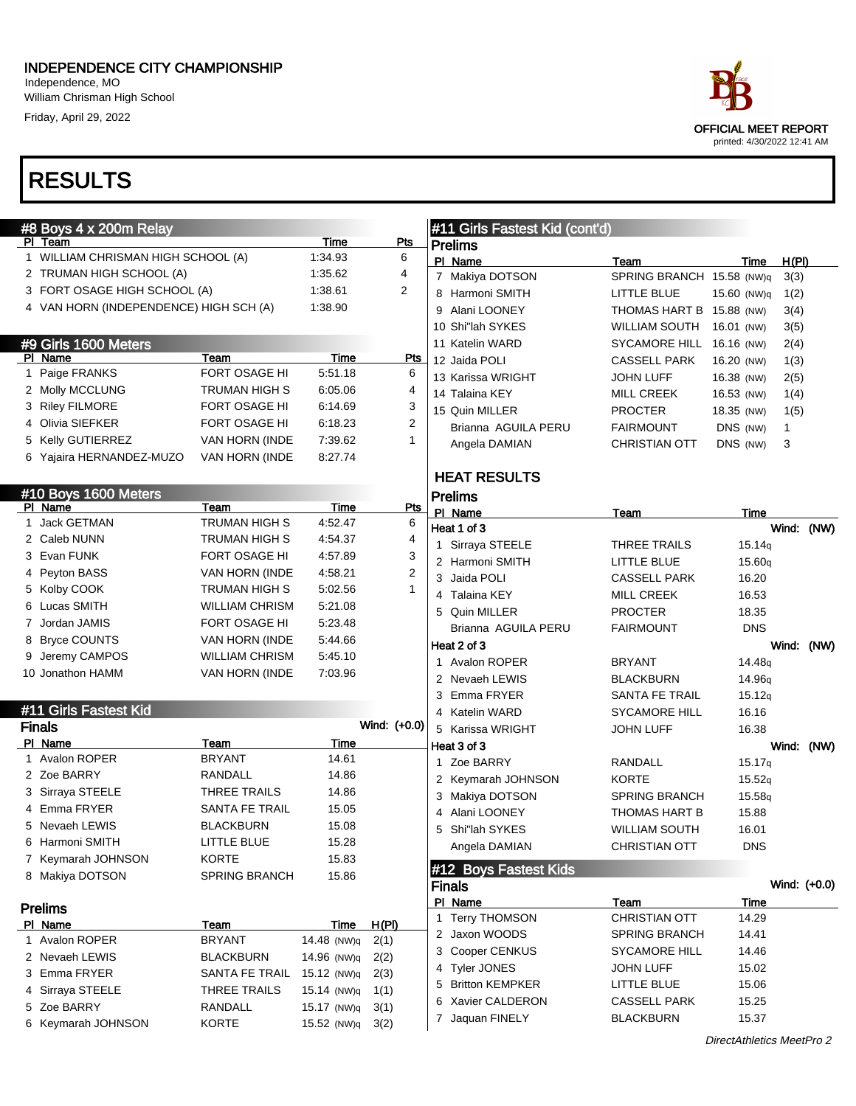William Chrisman High School Friday, April 29, 2022

## **RESULT**

Prelims Pl Name

|   |                                        |                       |                            |              |                |                                                  |                           | printed: 4/30/2022 12:41 AM |              |  |
|---|----------------------------------------|-----------------------|----------------------------|--------------|----------------|--------------------------------------------------|---------------------------|-----------------------------|--------------|--|
|   | <b>RESULTS</b>                         |                       |                            |              |                |                                                  |                           |                             |              |  |
|   |                                        |                       |                            |              |                |                                                  |                           |                             |              |  |
|   | #8 Boys 4 x 200m Relay<br>PI Team      |                       | Time                       | <b>Pts</b>   |                | #11 Girls Fastest Kid (cont'd)<br><b>Prelims</b> |                           |                             |              |  |
|   | 1 WILLIAM CHRISMAN HIGH SCHOOL (A)     |                       | 1:34.93                    | 6            |                | PI Name                                          | Team                      | Time                        | H(PI)        |  |
|   | 2 TRUMAN HIGH SCHOOL (A)               |                       | 1:35.62                    | 4            |                | 7 Makiya DOTSON                                  | SPRING BRANCH 15.58 (NW)q |                             | 3(3)         |  |
|   | 3 FORT OSAGE HIGH SCHOOL (A)           |                       | 1:38.61                    | 2            |                | 8 Harmoni SMITH                                  | LITTLE BLUE               | 15.60 (NW)q                 | 1(2)         |  |
|   | 4 VAN HORN (INDEPENDENCE) HIGH SCH (A) |                       | 1:38.90                    |              |                | 9 Alani LOONEY                                   | THOMAS HART B 15.88 (NW)  |                             | 3(4)         |  |
|   |                                        |                       |                            |              |                | 10 Shi"lah SYKES                                 | <b>WILLIAM SOUTH</b>      | 16.01 (NW)                  | 3(5)         |  |
|   | #9 Girls 1600 Meters                   |                       |                            |              |                | 11 Katelin WARD                                  | <b>SYCAMORE HILL</b>      | 16.16 (NW)                  | 2(4)         |  |
|   | PI Name                                | Team                  | Time                       |              | <b>Pts</b>     | 12 Jaida POLI                                    | <b>CASSELL PARK</b>       | 16.20 (NW)                  | 1(3)         |  |
|   | 1 Paige FRANKS                         | FORT OSAGE HI         | 5:51.18                    |              | 6              | 13 Karissa WRIGHT                                | <b>JOHN LUFF</b>          | 16.38 (NW)                  | 2(5)         |  |
|   | 2 Molly MCCLUNG                        | TRUMAN HIGH S         | 6:05.06                    |              | 4              | 14 Talaina KEY                                   | <b>MILL CREEK</b>         | 16.53 (NW)                  | 1(4)         |  |
|   | 3 Riley FILMORE                        | FORT OSAGE HI         | 6:14.69                    |              | 3              | 15 Quin MILLER                                   | <b>PROCTER</b>            | 18.35 (NW)                  | 1(5)         |  |
|   | 4 Olivia SIEFKER                       | FORT OSAGE HI         | 6:18.23                    |              | $\overline{2}$ | Brianna AGUILA PERU                              | <b>FAIRMOUNT</b>          | DNS (NW)                    | 1            |  |
|   | 5 Kelly GUTIERREZ                      | VAN HORN (INDE        | 7:39.62                    |              | 1              | Angela DAMIAN                                    | <b>CHRISTIAN OTT</b>      | DNS (NW)                    | 3            |  |
|   | 6 Yajaira HERNANDEZ-MUZO               | VAN HORN (INDE        | 8:27.74                    |              |                |                                                  |                           |                             |              |  |
|   |                                        |                       |                            |              |                | <b>HEAT RESULTS</b>                              |                           |                             |              |  |
|   | #10 Boys 1600 Meters                   |                       |                            |              |                | <b>Prelims</b>                                   |                           |                             |              |  |
|   | PI Name                                | Team                  | Time                       |              | Pts            | PI Name                                          | Team                      | <b>Time</b>                 |              |  |
|   | 1 Jack GETMAN                          | TRUMAN HIGH S         | 4:52.47                    |              | 6              | Heat 1 of 3                                      |                           |                             | Wind: (NW)   |  |
|   | 2 Caleb NUNN                           | TRUMAN HIGH S         | 4:54.37                    |              | 4              | 1 Sirraya STEELE                                 | THREE TRAILS              | 15.14q                      |              |  |
|   | 3 Evan FUNK                            | FORT OSAGE HI         | 4:57.89                    |              | 3              | 2 Harmoni SMITH                                  | LITTLE BLUE               | 15.60q                      |              |  |
|   | 4 Peyton BASS                          | VAN HORN (INDE        | 4:58.21                    |              | $\overline{2}$ | 3 Jaida POLI                                     | <b>CASSELL PARK</b>       | 16.20                       |              |  |
|   | 5 Kolby COOK                           | TRUMAN HIGH S         | 5:02.56                    |              | 1              | 4 Talaina KEY                                    | <b>MILL CREEK</b>         | 16.53                       |              |  |
|   | 6 Lucas SMITH                          | WILLIAM CHRISM        | 5:21.08                    |              |                | 5 Quin MILLER                                    | <b>PROCTER</b>            | 18.35                       |              |  |
|   | 7 Jordan JAMIS                         | FORT OSAGE HI         | 5:23.48                    |              |                | Brianna AGUILA PERU                              | <b>FAIRMOUNT</b>          | <b>DNS</b>                  |              |  |
|   | 8 Bryce COUNTS                         | VAN HORN (INDE        | 5:44.66                    |              |                | Heat 2 of 3                                      |                           |                             | Wind: (NW)   |  |
|   | 9 Jeremy CAMPOS                        | WILLIAM CHRISM        | 5:45.10                    |              |                | 1 Avalon ROPER                                   | <b>BRYANT</b>             | 14.48 <sub>g</sub>          |              |  |
|   | 10 Jonathon HAMM                       | VAN HORN (INDE        | 7:03.96                    |              |                | 2 Nevaeh LEWIS                                   | <b>BLACKBURN</b>          | 14.96 <sub>q</sub>          |              |  |
|   |                                        |                       |                            |              |                | 3 Emma FRYER                                     | <b>SANTA FE TRAIL</b>     | 15.12q                      |              |  |
|   | #11 Girls Fastest Kid                  |                       |                            |              |                | 4 Katelin WARD                                   | <b>SYCAMORE HILL</b>      | 16.16                       |              |  |
|   | <b>Finals</b>                          |                       |                            | Wind: (+0.0) |                | 5 Karissa WRIGHT                                 | JOHN LUFF                 | 16.38                       |              |  |
|   | PI Name                                | Team                  | <b>Time</b>                |              |                | Heat 3 of 3                                      |                           |                             | Wind: (NW)   |  |
|   | 1 Avalon ROPER                         | <b>BRYANT</b>         | 14.61                      |              |                | 1 Zoe BARRY                                      | RANDALL                   | 15.17q                      |              |  |
|   | 2 Zoe BARRY                            | RANDALL               | 14.86                      |              |                | 2 Keymarah JOHNSON                               | KORTE                     | 15.52q                      |              |  |
|   | 3 Sirraya STEELE                       | THREE TRAILS          | 14.86                      |              |                | 3 Makiya DOTSON                                  | SPRING BRANCH             | 15.58q                      |              |  |
|   | 4 Emma FRYER                           | SANTA FE TRAIL        | 15.05                      |              |                | Alani LOONEY<br>4                                | THOMAS HART B             | 15.88                       |              |  |
|   | 5 Nevaeh LEWIS                         | <b>BLACKBURN</b>      | 15.08                      |              |                | 5 Shi"lah SYKES                                  | <b>WILLIAM SOUTH</b>      | 16.01                       |              |  |
| 6 | Harmoni SMITH                          | LITTLE BLUE           | 15.28                      |              |                | Angela DAMIAN                                    | <b>CHRISTIAN OTT</b>      | <b>DNS</b>                  |              |  |
|   | 7 Keymarah JOHNSON                     | KORTE                 | 15.83                      |              |                | #12 Boys Fastest Kids                            |                           |                             |              |  |
|   | 8 Makiya DOTSON                        | <b>SPRING BRANCH</b>  | 15.86                      |              |                | <b>Finals</b>                                    |                           |                             | Wind: (+0.0) |  |
|   |                                        |                       |                            |              |                | PI Name                                          | Team                      | Time                        |              |  |
|   | <b>Prelims</b>                         |                       |                            |              |                | <b>Terry THOMSON</b><br>$\mathbf 1$              | <b>CHRISTIAN OTT</b>      | 14.29                       |              |  |
|   | PI Name<br>1 Avalon ROPER              | Team<br><b>BRYANT</b> | <b>Time</b><br>14.48 (NW)q | H(PI)        |                | 2 Jaxon WOODS                                    | <b>SPRING BRANCH</b>      | 14.41                       |              |  |
|   | 2 Nevaeh LEWIS                         | <b>BLACKBURN</b>      | 14.96 (NW)q                | 2(1)         |                | 3 Cooper CENKUS                                  | <b>SYCAMORE HILL</b>      | 14.46                       |              |  |
|   | 3 Emma FRYER                           | SANTA FE TRAIL        | 15.12 (NW)q                | 2(2)<br>2(3) |                | 4 Tyler JONES                                    | <b>JOHN LUFF</b>          | 15.02                       |              |  |
|   | 4 Sirraya STEELE                       | THREE TRAILS          | 15.14 (NW)q                | 1(1)         |                | <b>Britton KEMPKER</b><br>5                      | LITTLE BLUE               | 15.06                       |              |  |
|   | 5 Zoe BARRY                            | RANDALL               | 15.17 (NW)q                | 3(1)         |                | Xavier CALDERON<br>6                             | <b>CASSELL PARK</b>       | 15.25                       |              |  |
|   | 6 Keymarah JOHNSON                     | <b>KORTE</b>          | 15.52 (NW)q                | 3(2)         |                | 7 Jaquan FINELY                                  | <b>BLACKBURN</b>          | 15.37                       |              |  |
|   |                                        |                       |                            |              |                |                                                  |                           |                             |              |  |

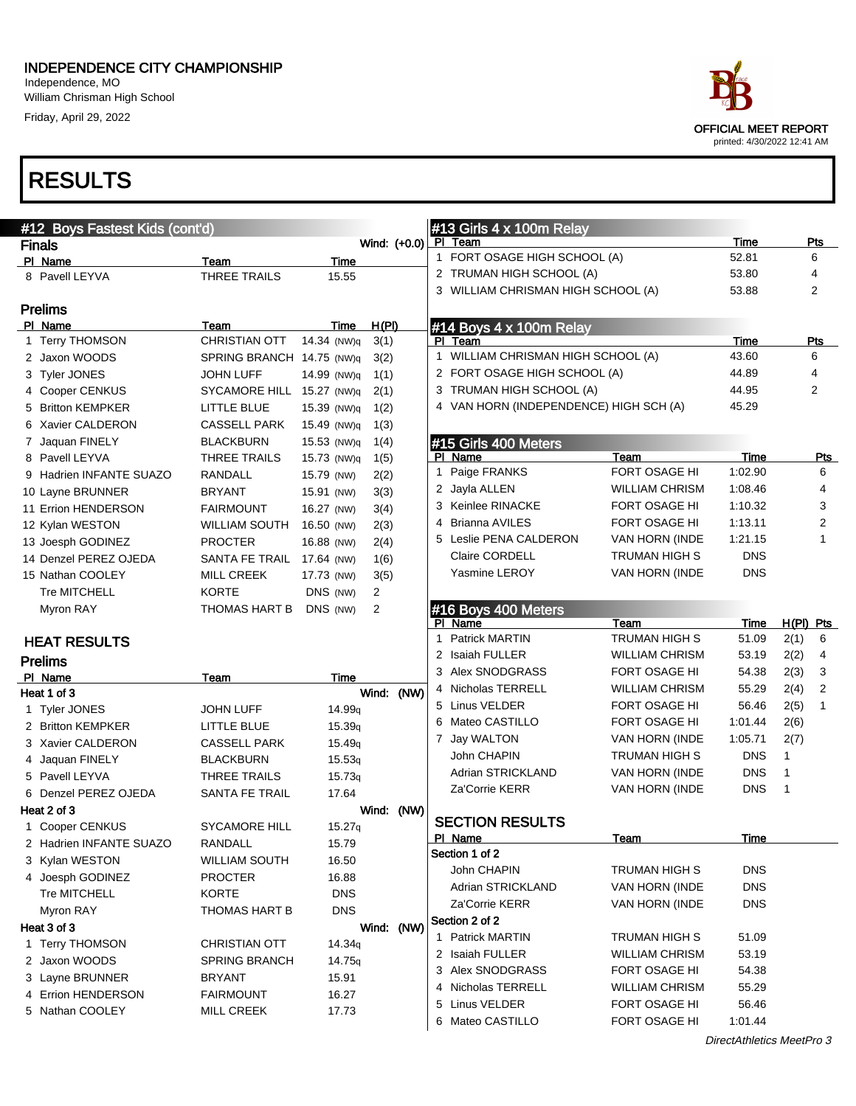#### INDEPENDENCE CITY CHAMPIONSHIP Independence, MO

William Chrisman High School Friday, April 29, 2022



| #12 Boys Fastest Kids (cont'd)   |                                       |                             |       |              |              | #13 Girls 4 x 100m Relay                   |                                        |                    |           |            |
|----------------------------------|---------------------------------------|-----------------------------|-------|--------------|--------------|--------------------------------------------|----------------------------------------|--------------------|-----------|------------|
| <b>Finals</b>                    |                                       |                             |       | Wind: (+0.0) |              | PI Team                                    |                                        | Time               |           | Pts        |
| PI Name                          | Team                                  | Time                        |       |              | $\mathbf{1}$ | FORT OSAGE HIGH SCHOOL (A)                 |                                        | 52.81              |           | 6          |
| 8 Pavell LEYVA                   | <b>THREE TRAILS</b>                   | 15.55                       |       |              |              | 2 TRUMAN HIGH SCHOOL (A)                   |                                        | 53.80              |           | 4          |
|                                  |                                       |                             |       |              |              | 3 WILLIAM CHRISMAN HIGH SCHOOL (A)         |                                        | 53.88              |           | 2          |
| <b>Prelims</b>                   |                                       |                             |       |              |              |                                            |                                        |                    |           |            |
| PI Name                          | Team                                  | Time                        | H(PI) |              |              | #14 Boys 4 x 100m Relay                    |                                        |                    |           |            |
| 1 Terry THOMSON                  | <b>CHRISTIAN OTT</b>                  | 14.34 (NW)q                 | 3(1)  |              |              | PI Team                                    |                                        | Time               |           | <b>Pts</b> |
| 2 Jaxon WOODS                    | SPRING BRANCH 14.75 (NW)q             |                             | 3(2)  |              | $\mathbf{1}$ | WILLIAM CHRISMAN HIGH SCHOOL (A)           |                                        | 43.60              |           | 6          |
| 3 Tyler JONES                    | <b>JOHN LUFF</b>                      | 14.99 (NW)q                 | 1(1)  |              |              | 2 FORT OSAGE HIGH SCHOOL (A)               |                                        | 44.89              |           | 4          |
| 4 Cooper CENKUS                  | SYCAMORE HILL 15.27 (NW)q             |                             | 2(1)  |              |              | 3 TRUMAN HIGH SCHOOL (A)                   |                                        | 44.95              |           | 2          |
| 5 Britton KEMPKER                | LITTLE BLUE                           | 15.39 (NW)q                 | 1(2)  |              |              | 4 VAN HORN (INDEPENDENCE) HIGH SCH (A)     |                                        | 45.29              |           |            |
| 6 Xavier CALDERON                | <b>CASSELL PARK</b>                   | 15.49 (NW)q                 | 1(3)  |              |              |                                            |                                        |                    |           |            |
| 7 Jaquan FINELY                  | <b>BLACKBURN</b>                      | 15.53 (NW)q                 | 1(4)  |              |              | #15 Girls 400 Meters                       |                                        |                    |           |            |
| 8 Pavell LEYVA                   | THREE TRAILS                          | 15.73 (NW)q                 | 1(5)  |              |              | PI Name                                    | Team<br>FORT OSAGE HI                  | Time               |           | <u>Pts</u> |
| 9 Hadrien INFANTE SUAZO          | RANDALL                               | 15.79 (NW)                  | 2(2)  |              | 1            | Paige FRANKS                               |                                        | 1:02.90            |           | 6<br>4     |
| 10 Layne BRUNNER                 | <b>BRYANT</b>                         | 15.91 (NW)                  | 3(3)  |              |              | 2 Jayla ALLEN                              | <b>WILLIAM CHRISM</b><br>FORT OSAGE HI | 1:08.46            |           | 3          |
| 11 Errion HENDERSON              | <b>FAIRMOUNT</b>                      | 16.27 (NW)                  | 3(4)  |              |              | 3 Keinlee RINACKE                          | FORT OSAGE HI                          | 1:10.32            |           |            |
| 12 Kylan WESTON                  | WILLIAM SOUTH                         | 16.50 (NW)                  | 2(3)  |              |              | 4 Brianna AVILES<br>5 Leslie PENA CALDERON |                                        | 1:13.11<br>1:21.15 |           | 2          |
| 13 Joesph GODINEZ                | <b>PROCTER</b>                        | 16.88 (NW)                  | 2(4)  |              |              |                                            | VAN HORN (INDE                         |                    |           | 1          |
| 14 Denzel PEREZ OJEDA            | <b>SANTA FE TRAIL</b>                 | 17.64 (NW)                  | 1(6)  |              |              | Claire CORDELL                             | TRUMAN HIGH S                          | <b>DNS</b>         |           |            |
| 15 Nathan COOLEY                 | <b>MILL CREEK</b>                     | 17.73 (NW)                  | 3(5)  |              |              | <b>Yasmine LEROY</b>                       | VAN HORN (INDE                         | <b>DNS</b>         |           |            |
| <b>Tre MITCHELL</b>              | <b>KORTE</b>                          | DNS (NW)                    | 2     |              |              |                                            |                                        |                    |           |            |
| Myron RAY                        | THOMAS HART B                         | DNS (NW)                    | 2     |              |              | #16 Boys 400 Meters<br>PI Name             | Team                                   |                    | H(PI) Pts |            |
|                                  |                                       |                             |       |              |              | 1 Patrick MARTIN                           | TRUMAN HIGH S                          | Time<br>51.09      | 2(1)      | 6          |
| <b>HEAT RESULTS</b>              |                                       |                             |       |              |              | 2 Isaiah FULLER                            | <b>WILLIAM CHRISM</b>                  | 53.19              | 2(2)      | 4          |
| <b>Prelims</b>                   |                                       |                             |       |              |              | 3 Alex SNODGRASS                           | FORT OSAGE HI                          | 54.38              | 2(3)      | 3          |
| PI Name                          | Team                                  | Time                        |       |              |              | 4 Nicholas TERRELL                         | <b>WILLIAM CHRISM</b>                  | 55.29              | 2(4)      | 2          |
| Heat 1 of 3                      |                                       |                             |       | Wind: (NW)   |              | 5 Linus VELDER                             | FORT OSAGE HI                          | 56.46              | 2(5)      | 1          |
| 1 Tyler JONES                    | JOHN LUFF                             | 14.99 <sub>q</sub>          |       |              |              | 6 Mateo CASTILLO                           | FORT OSAGE HI                          | 1:01.44            | 2(6)      |            |
| 2 Britton KEMPKER                | LITTLE BLUE                           | 15.39q                      |       |              |              | 7 Jay WALTON                               | VAN HORN (INDE                         | 1:05.71            | 2(7)      |            |
| 3 Xavier CALDERON                | <b>CASSELL PARK</b>                   | 15.49q                      |       |              |              | John CHAPIN                                | TRUMAN HIGH S                          | <b>DNS</b>         | 1         |            |
| 4 Jaquan FINELY                  | <b>BLACKBURN</b>                      | 15.53q                      |       |              |              | Adrian STRICKLAND                          | VAN HORN (INDE                         | <b>DNS</b>         | 1         |            |
| 5 Pavell LEYVA                   | THREE TRAILS                          | 15.73q                      |       |              |              | Za'Corrie KERR                             | VAN HORN (INDE                         | <b>DNS</b>         | 1         |            |
| 6 Denzel PEREZ OJEDA             | <b>SANTA FE TRAIL</b>                 | 17.64                       |       |              |              |                                            |                                        |                    |           |            |
| Heat 2 of 3                      | <b>SYCAMORE HILL</b>                  |                             |       | Wind: (NW)   |              | <b>SECTION RESULTS</b>                     |                                        |                    |           |            |
| 1 Cooper CENKUS                  |                                       | 15.27q                      |       |              |              | PI Name                                    | Team                                   | Time               |           |            |
| 2 Hadrien INFANTE SUAZO          | RANDALL                               | 15.79                       |       |              |              | Section 1 of 2                             |                                        |                    |           |            |
| 3 Kylan WESTON                   | WILLIAM SOUTH                         | 16.50<br>16.88              |       |              |              | John CHAPIN                                | TRUMAN HIGH S                          | <b>DNS</b>         |           |            |
| 4 Joesph GODINEZ<br>Tre MITCHELL | <b>PROCTER</b><br>KORTE               | <b>DNS</b>                  |       |              |              | Adrian STRICKLAND                          | VAN HORN (INDE                         | <b>DNS</b>         |           |            |
| Myron RAY                        |                                       | <b>DNS</b>                  |       |              |              | Za'Corrie KERR                             | VAN HORN (INDE                         | <b>DNS</b>         |           |            |
| Heat 3 of 3                      | THOMAS HART B                         |                             |       | Wind: (NW)   |              | Section 2 of 2                             |                                        |                    |           |            |
|                                  |                                       |                             |       |              |              | 1 Patrick MARTIN                           | TRUMAN HIGH S                          | 51.09              |           |            |
| 1 Terry THOMSON<br>2 Jaxon WOODS | <b>CHRISTIAN OTT</b><br>SPRING BRANCH | 14.34q                      |       |              |              | 2 Isaiah FULLER                            | <b>WILLIAM CHRISM</b>                  | 53.19              |           |            |
| 3 Layne BRUNNER                  | <b>BRYANT</b>                         | 14.75 <sub>q</sub><br>15.91 |       |              |              | 3 Alex SNODGRASS                           | FORT OSAGE HI                          | 54.38              |           |            |
| 4 Errion HENDERSON               | <b>FAIRMOUNT</b>                      | 16.27                       |       |              |              | 4 Nicholas TERRELL                         | <b>WILLIAM CHRISM</b>                  | 55.29              |           |            |
| 5 Nathan COOLEY                  | <b>MILL CREEK</b>                     | 17.73                       |       |              |              | 5 Linus VELDER                             | FORT OSAGE HI                          | 56.46              |           |            |
|                                  |                                       |                             |       |              |              | 6 Mateo CASTILLO                           | FORT OSAGE HI                          | 1:01.44            |           |            |
|                                  |                                       |                             |       |              |              |                                            |                                        |                    |           |            |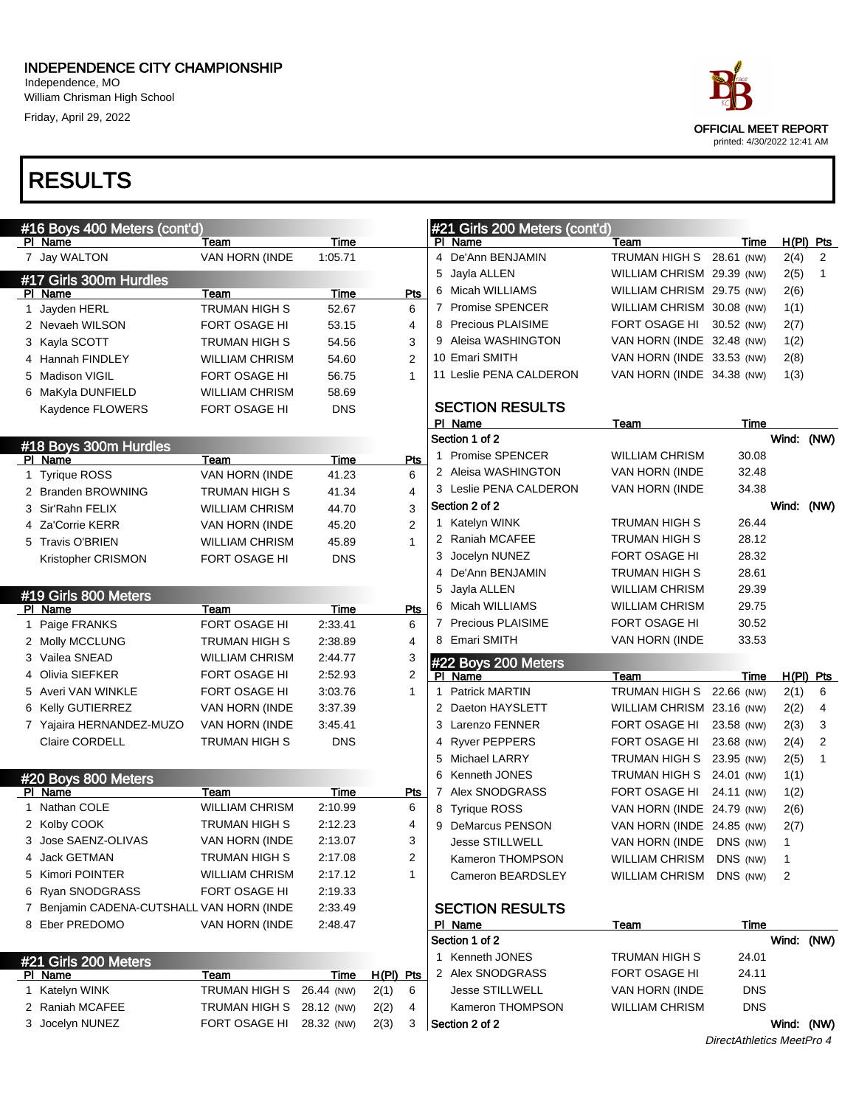#### INDEPENDENCE CITY CHAMPIONSHIP Independence, MO

William Chrisman High School Friday, April 29, 2022

## RESULTS

|      | #16 Boys 400 Meters (cont'd)              |                               |                 |                  |     |    | #21 Girls 200             |
|------|-------------------------------------------|-------------------------------|-----------------|------------------|-----|----|---------------------------|
|      | PI Name                                   | Team                          | <b>Time</b>     |                  |     |    | PI Name                   |
| 7    | Jay WALTON                                | VAN HORN (INDE                | 1:05.71         |                  |     | 4  | De'Ann BENJ               |
|      | #17 Girls 300m Hurdles                    |                               |                 |                  |     | 5  | Jayla ALLEN               |
| - PI | Name                                      | Team                          | Time            |                  | Pts |    | Micah WILLIA              |
| 1    | Jayden HERL                               | <b>TRUMAN HIGH S</b>          | 52.67           | 6                |     |    | 7 Promise SPE             |
| 2    | Nevaeh WILSON                             | <b>FORT OSAGE HI</b>          | 53.15           | 4                |     |    | 8 Precious PLA            |
| 3    | Kayla SCOTT                               | TRUMAN HIGH S                 | 54.56           | 3                |     | 9  | Aleisa WASH               |
|      | 4 Hannah FINDLEY                          | <b>WILLIAM CHRISM</b>         | 54.60           | 2                |     |    | 10 Emari SMITH            |
| 5    | Madison VIGIL                             | <b>FORT OSAGE HI</b>          | 56.75           | 1                |     |    | 11 Leslie PENA            |
| 6    | MaKyla DUNFIELD                           | <b>WILLIAM CHRISM</b>         | 58.69           |                  |     |    |                           |
|      | Kaydence FLOWERS                          | <b>FORT OSAGE HI</b>          | DNS             |                  |     |    | <b>SECTION RE</b>         |
|      |                                           |                               |                 |                  |     |    | PI Name                   |
|      | #18 Boys 300m Hurdles                     |                               |                 |                  |     |    | Section 1 of 2            |
|      | PI Name                                   | Team                          | <b>Time</b>     |                  | Pts |    | 1 Promise SPE             |
| 1    | <b>Tyrique ROSS</b>                       | VAN HORN (INDE                | 41.23           | 6                |     |    | 2 Aleisa WASH             |
|      | 2 Branden BROWNING                        | <b>TRUMAN HIGH S</b>          | 41.34           | 4                |     |    | 3 Leslie PENA             |
| 3    | Sir'Rahn FELIX                            | <b>WILLIAM CHRISM</b>         | 44.70           | 3                |     |    | Section 2 of 2            |
|      | 4 Za'Corrie KERR                          | VAN HORN (INDE                | 45.20           | $\overline{2}$   |     | 1. | Katelyn WINK              |
|      | 5 Travis O'BRIEN                          | <b>WILLIAM CHRISM</b>         | 45.89           | 1                |     | 2  | <b>Raniah MCAF</b>        |
|      | Kristopher CRISMON                        | FORT OSAGE HI                 | <b>DNS</b>      |                  |     | 3  | Jocelyn NUNI              |
|      |                                           |                               |                 |                  |     | 4  | De'Ann BENJ               |
|      | #19 Girls 800 Meters                      |                               |                 |                  |     | 5  | Jayla ALLEN               |
|      | PI Name                                   | <b>Team</b>                   | Time            |                  | Pts | 6  | Micah WILLIA              |
| 1.   | Paige FRANKS                              | FORT OSAGE HI                 | 2:33.41         | 6                |     |    | 7 Precious PLA            |
|      | 2 Molly MCCLUNG                           | TRUMAN HIGH S                 | 2:38.89         | 4                |     | 8  | Emari SMITH               |
|      | 3 Vailea SNEAD                            | <b>WILLIAM CHRISM</b>         | 2:44.77         | 3                |     |    |                           |
|      | 4 Olivia SIEFKER                          | FORT OSAGE HI                 | 2:52.93         | $\overline{2}$   |     | PI | #22 Boys 200<br>Name      |
|      | 5 Averi VAN WINKLE                        | FORT OSAGE HI                 | 3:03.76         | 1                |     | 1  | Patrick MART              |
|      | 6 Kelly GUTIERREZ                         | VAN HORN (INDE                | 3:37.39         |                  |     | 2  | Daeton HAYS               |
|      | 7 Yajaira HERNANDEZ-MUZO                  | VAN HORN (INDE                | 3:45.41         |                  |     | 3  | Larenzo FEN               |
|      | Claire CORDELL                            | TRUMAN HIGH S                 | DNS             |                  |     |    | 4 Ryver PEPPE             |
|      |                                           |                               |                 |                  |     | 5  | <b>Michael LARF</b>       |
|      |                                           |                               |                 |                  |     | 6  | Kenneth JON               |
| ΡI   | #20 Boys 800 Meters<br>Name               |                               |                 |                  |     | 7  | Alex SNODG                |
| 1    | Nathan COLE                               | Team<br><b>WILLIAM CHRISM</b> | Time<br>2:10.99 | 6                | Pts | 8  |                           |
|      | 2 Kolby COOK                              | TRUMAN HIGH S                 | 2:12.23         | 4                |     |    | <b>Tyrique ROSS</b>       |
|      | 3 Jose SAENZ-OLIVAS                       | VAN HORN (INDE                | 2:13.07         | 3                |     | 9  | DeMarcus PE               |
|      |                                           | TRUMAN HIGH S                 |                 |                  |     |    | Jesse STILLV              |
|      | 4 Jack GETMAN<br>5 Kimori POINTER         | <b>WILLIAM CHRISM</b>         | 2:17.08         | 1                | 2   |    | Kameron THO               |
|      |                                           |                               | 2:17.12         |                  |     |    | Cameron BE/               |
|      | 6 Ryan SNODGRASS                          | FORT OSAGE HI                 | 2:19.33         |                  |     |    |                           |
|      | 7 Benjamin CADENA-CUTSHALL VAN HORN (INDE |                               | 2:33.49         |                  |     |    | <b>SECTION RE</b>         |
|      | 8 Eber PREDOMO                            | VAN HORN (INDE                | 2:48.47         |                  |     |    | PI Name<br>Section 1 of 2 |
|      |                                           |                               |                 |                  |     |    |                           |
|      | #21 Girls 200 Meters                      |                               |                 |                  |     |    | 1 Kenneth JON             |
|      | PI Name                                   | <b>Team</b>                   | <b>Time</b>     | <u>H(PI) Pts</u> |     |    | 2 Alex SNODG              |
|      | 1 Katelyn WINK                            | TRUMAN HIGH S                 | 26.44 (NW)      | 2(1)<br>6        |     |    | <b>Jesse STILLV</b>       |
|      | 2 Raniah MCAFEE                           | TRUMAN HIGH S                 | 28.12 (NW)      | 2(2)             | 4   |    | Kameron THO               |
|      | 3 Jocelyn NUNEZ                           | FORT OSAGE HI                 | 28.32 (NW)      | 2(3)<br>3        |     |    | Section 2 of 2            |



|    | #21 Girls 200 Meters (cont'd) |                           |             |              |             |
|----|-------------------------------|---------------------------|-------------|--------------|-------------|
| ΡI | Name                          | <u>Team</u>               | <u>Time</u> |              | H(PI) Pts   |
| 4  | De'Ann BENJAMIN               | TRUMAN HIGH S             | 28.61 (NW)  | 2(4)         | 2           |
| 5  | Jayla ALLEN                   | WILLIAM CHRISM            | 29.39 (NW)  | 2(5)         | 1           |
| 6  | Micah WILLIAMS                | WILLIAM CHRISM            | 29.75 (NW)  | 2(6)         |             |
| 7  | <b>Promise SPENCER</b>        | WILLIAM CHRISM            | 30.08 (NW)  | 1(1)         |             |
| 8  | Precious PLAISIME             | FORT OSAGE HI             | 30.52 (NW)  | 2(7)         |             |
| 9  | Aleisa WASHINGTON             | VAN HORN (INDE            | 32.48 (NW)  | 1(2)         |             |
|    | 10 Emari SMITH                | VAN HORN (INDE            | 33.53 (NW)  | 2(8)         |             |
|    | 11 Leslie PENA CALDERON       | VAN HORN (INDE            | 34.38 (NW)  | 1(3)         |             |
|    | <b>SECTION RESULTS</b>        |                           |             |              |             |
|    | PI Name                       | <u>Team</u>               | Time        |              |             |
|    | Section 1 of 2                |                           |             | Wind:        | (NW)        |
| 1  | <b>Promise SPENCER</b>        | <b>WILLIAM CHRISM</b>     | 30.08       |              |             |
|    | 2 Aleisa WASHINGTON           | VAN HORN (INDE            | 32.48       |              |             |
|    | 3 Leslie PENA CALDERON        | VAN HORN (INDE            | 34.38       |              |             |
|    | Section 2 of 2                |                           |             | Wind:        | (NW)        |
| 1  | Katelyn WINK                  | <b>TRUMAN HIGH S</b>      | 26.44       |              |             |
| 2  | <b>Raniah MCAFEE</b>          | TRUMAN HIGH S             | 28.12       |              |             |
| 3  | Jocelyn NUNEZ                 | FORT OSAGE HI             | 28.32       |              |             |
| 4  | De'Ann BENJAMIN               | TRUMAN HIGH S             | 28.61       |              |             |
| 5  | Jayla ALLEN                   | <b>WILLIAM CHRISM</b>     | 29.39       |              |             |
| 6  | Micah WILLIAMS                | <b>WILLIAM CHRISM</b>     | 29.75       |              |             |
| 7  | <b>Precious PLAISIME</b>      | FORT OSAGE HI             | 30.52       |              |             |
| 8  | Emari SMITH                   | VAN HORN (INDE            | 33.53       |              |             |
|    | #22 Boys 200 Meters           |                           |             |              |             |
| PI | Name                          | <u>Team</u>               | Time        |              | $H(PI)$ Pts |
| 1  | <b>Patrick MARTIN</b>         | TRUMAN HIGH S             | 22.66 (NW)  | 2(1)         | 6           |
| 2  | Daeton HAYSLETT               | WILLIAM CHRISM 23.16 (NW) |             | 2(2)         | 4           |
| 3  | <b>Larenzo FENNER</b>         | FORT OSAGE HI             | 23.58 (NW)  | 2(3)         | 3           |
| 4  | <b>Ryver PEPPERS</b>          | FORT OSAGE HI             | 23.68 (NW)  | 2(4)         | 2           |
| 5  | Michael LARRY                 | TRUMAN HIGH S             | 23.95 (NW)  | 2(5)         | 1           |
| 6  | Kenneth JONES                 | <b>TRUMAN HIGH S</b>      | 24.01 (NW)  | 1(1)         |             |
| 7  | Alex SNODGRASS                | FORT OSAGE HI             | 24.11 (NW)  | 1(2)         |             |
| 8  | <b>Tyrique ROSS</b>           | VAN HORN (INDE            | 24.79 (NW)  | 2(6)         |             |
| 9  | <b>DeMarcus PENSON</b>        | VAN HORN (INDE            | 24.85 (NW)  | 2(7)         |             |
|    | <b>Jesse STILLWELL</b>        | VAN HORN (INDE            | DNS (NW)    | 1            |             |
|    | Kameron THOMPSON              | WILLIAM CHRISM            | DNS (NW)    | 1            |             |
|    | Cameron BEARDSLEY             | <b>WILLIAM CHRISM</b>     | DNS (NW)    | 2            |             |
|    | <b>SECTION RESULTS</b>        |                           |             |              |             |
|    | PI Name                       | <b>Team</b>               | Time        |              |             |
|    | Section 1 of 2                |                           |             | <b>Wind:</b> | (NW)        |
|    | 1 Kenneth JONES               | TRUMAN HIGH S             | 24.01       |              |             |
|    | 2 Alex SNODGRASS              | FORT OSAGE HI             | 24.11       |              |             |
|    | <b>Jesse STILLWELL</b>        | VAN HORN (INDE            | <b>DNS</b>  |              |             |
|    |                               |                           |             |              |             |
|    | Kameron THOMPSON              | <b>WILLIAM CHRISM</b>     | <b>DNS</b>  |              |             |

DirectAthletics MeetPro 4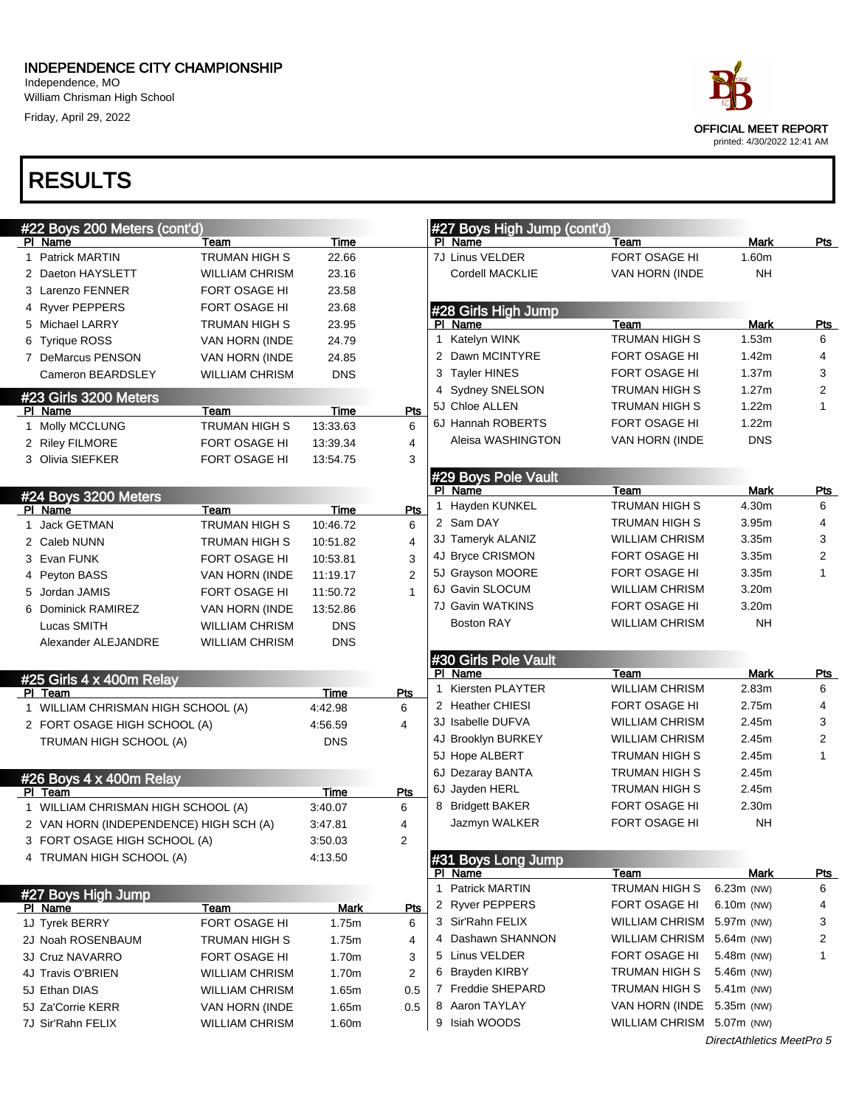#### INDEPENDENCE CITY CHAMPIONSHIP

Independence, MO William Chrisman High School Friday, April 29, 2022

#### OFFICIAL MEET REPORT printed: 4/30/2022 12:41 AM

| #22 Boys 200 Meters (cont'd)           |                       |             |     |    | #27 Boys High Jump (cont'd) |                           |                           |                         |
|----------------------------------------|-----------------------|-------------|-----|----|-----------------------------|---------------------------|---------------------------|-------------------------|
| PI Name                                | Team                  | Time        |     |    | PI Name                     | Team                      | Mark                      | <u>Pts</u>              |
| 1 Patrick MARTIN                       | <b>TRUMAN HIGH S</b>  | 22.66       |     |    | 7J Linus VELDER             | FORT OSAGE HI             | 1.60m                     |                         |
| 2 Daeton HAYSLETT                      | <b>WILLIAM CHRISM</b> | 23.16       |     |    | Cordell MACKLIE             | VAN HORN (INDE            | NΗ                        |                         |
| 3 Larenzo FENNER                       | FORT OSAGE HI         | 23.58       |     |    |                             |                           |                           |                         |
| 4 Ryver PEPPERS                        | FORT OSAGE HI         | 23.68       |     |    | #28 Girls High Jump         |                           |                           |                         |
| 5 Michael LARRY                        | TRUMAN HIGH S         | 23.95       |     |    | PI Name                     | Team                      | Mark                      | <b>Pts</b>              |
| 6 Tyrique ROSS                         | VAN HORN (INDE        | 24.79       |     | 1. | Katelyn WINK                | <b>TRUMAN HIGH S</b>      | 1.53m                     | 6                       |
| 7 DeMarcus PENSON                      | VAN HORN (INDE        | 24.85       |     |    | 2 Dawn MCINTYRE             | FORT OSAGE HI             | 1.42m                     | $\overline{4}$          |
| Cameron BEARDSLEY                      | <b>WILLIAM CHRISM</b> | <b>DNS</b>  |     |    | 3 Tayler HINES              | FORT OSAGE HI             | 1.37m                     | 3                       |
| #23 Girls 3200 Meters                  |                       |             |     |    | 4 Sydney SNELSON            | TRUMAN HIGH S             | 1.27m                     | $\overline{2}$          |
| PI Name                                | Team                  | Time        | Pts |    | 5J Chloe ALLEN              | TRUMAN HIGH S             | 1.22m                     | 1                       |
| 1 Molly MCCLUNG                        | <b>TRUMAN HIGH S</b>  | 13:33.63    | 6   |    | 6J Hannah ROBERTS           | FORT OSAGE HI             | 1.22m                     |                         |
| 2 Riley FILMORE                        | <b>FORT OSAGE HI</b>  | 13:39.34    | 4   |    | Aleisa WASHINGTON           | VAN HORN (INDE            | <b>DNS</b>                |                         |
| 3 Olivia SIEFKER                       | <b>FORT OSAGE HI</b>  | 13:54.75    | 3   |    |                             |                           |                           |                         |
|                                        |                       |             |     |    | #29 Boys Pole Vault         |                           |                           |                         |
| #24 Boys 3200 Meters                   |                       |             |     |    | PI Name                     | Team                      | Mark                      | Pts                     |
| PI Name                                | Team                  | Time        | Pts |    | Hayden KUNKEL               | <b>TRUMAN HIGH S</b>      | 4.30m                     | 6                       |
| 1 Jack GETMAN                          | TRUMAN HIGH S         | 10:46.72    | 6   |    | 2 Sam DAY                   | TRUMAN HIGH S             | 3.95m                     | $\overline{4}$          |
| 2 Caleb NUNN                           | TRUMAN HIGH S         | 10:51.82    | 4   |    | 3J Tameryk ALANIZ           | <b>WILLIAM CHRISM</b>     | 3.35m                     | 3                       |
| 3 Evan FUNK                            | FORT OSAGE HI         | 10:53.81    | 3   |    | 4J Bryce CRISMON            | FORT OSAGE HI             | 3.35m                     | $\overline{\mathbf{c}}$ |
| 4 Peyton BASS                          | VAN HORN (INDE        | 11:19.17    | 2   |    | 5J Grayson MOORE            | FORT OSAGE HI             | 3.35m                     | 1                       |
| 5 Jordan JAMIS                         | FORT OSAGE HI         | 11:50.72    |     |    | 6J Gavin SLOCUM             | <b>WILLIAM CHRISM</b>     | 3.20m                     |                         |
| 6 Dominick RAMIREZ                     | VAN HORN (INDE        | 13:52.86    |     |    | 7J Gavin WATKINS            | FORT OSAGE HI             | 3.20m                     |                         |
| Lucas SMITH                            | <b>WILLIAM CHRISM</b> | <b>DNS</b>  |     |    | <b>Boston RAY</b>           | <b>WILLIAM CHRISM</b>     | NΗ                        |                         |
| Alexander ALEJANDRE                    | <b>WILLIAM CHRISM</b> | <b>DNS</b>  |     |    |                             |                           |                           |                         |
|                                        |                       |             |     |    | #30 Girls Pole Vault        |                           |                           |                         |
| #25 Girls 4 x 400m Relay               |                       |             |     |    | PI Name                     | Team                      | Mark                      | <u>Pts</u>              |
| PI Team                                |                       | Time        | Pts | 1  | Kiersten PLAYTER            | <b>WILLIAM CHRISM</b>     | 2.83m                     | 6                       |
| 1 WILLIAM CHRISMAN HIGH SCHOOL (A)     |                       | 4:42.98     | 6   |    | 2 Heather CHIESI            | FORT OSAGE HI             | 2.75m                     | $\overline{4}$          |
| 2 FORT OSAGE HIGH SCHOOL (A)           |                       | 4:56.59     | 4   |    | 3J Isabelle DUFVA           | <b>WILLIAM CHRISM</b>     | 2.45m                     | 3                       |
| TRUMAN HIGH SCHOOL (A)                 |                       | <b>DNS</b>  |     |    | 4J Brooklyn BURKEY          | <b>WILLIAM CHRISM</b>     | 2.45m                     | $\overline{2}$          |
|                                        |                       |             |     |    | 5J Hope ALBERT              | TRUMAN HIGH S             | 2.45m                     | $\mathbf{1}$            |
| #26 Boys 4 x 400m Relay                |                       |             |     |    | 6J Dezaray BANTA            | <b>TRUMAN HIGH S</b>      | 2.45m                     |                         |
| PI Team                                |                       | Time        | Pts |    | 6J Jayden HERL              | <b>TRUMAN HIGH S</b>      | 2.45m                     |                         |
| 1 WILLIAM CHRISMAN HIGH SCHOOL (A)     |                       | 3:40.07     | 6   |    | 8 Bridgett BAKER            | FORT OSAGE HI             | 2.30m                     |                         |
| 2 VAN HORN (INDEPENDENCE) HIGH SCH (A) |                       | 3:47.81     | 4   |    | Jazmyn WALKER               | FORT OSAGE HI             | NΗ                        |                         |
| 3 FORT OSAGE HIGH SCHOOL (A)           |                       | 3:50.03     | 2   |    |                             |                           |                           |                         |
| 4 TRUMAN HIGH SCHOOL (A)               |                       | 4:13.50     |     |    | #31 Boys Long Jump          |                           |                           |                         |
|                                        |                       |             |     |    | PI Name                     | <b>Team</b>               | <b>Mark</b>               | <u>Pts</u>              |
| #27 Boys High Jump                     |                       |             |     | 1. | Patrick MARTIN              | <b>TRUMAN HIGH S</b>      | 6.23m (NW)                | 6                       |
| <u>PI Name</u>                         | Team                  | <b>Mark</b> | Pts |    | 2 Ryver PEPPERS             | FORT OSAGE HI             | 6.10m (NW)                | 4                       |
| 1J Tyrek BERRY                         | FORT OSAGE HI         | 1.75m       | 6   |    | 3 Sir'Rahn FELIX            | <b>WILLIAM CHRISM</b>     | 5.97m (NW)                | 3                       |
| 2J Noah ROSENBAUM                      | TRUMAN HIGH S         | 1.75m       | 4   |    | 4 Dashawn SHANNON           | WILLIAM CHRISM            | 5.64m (NW)                | 2                       |
| 3J Cruz NAVARRO                        | FORT OSAGE HI         | 1.70m       | 3   |    | 5 Linus VELDER              | FORT OSAGE HI             | 5.48m (NW)                | 1                       |
| 4J Travis O'BRIEN                      | <b>WILLIAM CHRISM</b> | 1.70m       | 2   |    | 6 Brayden KIRBY             | TRUMAN HIGH S             | 5.46m (NW)                |                         |
| 5J Ethan DIAS                          | <b>WILLIAM CHRISM</b> | 1.65m       | 0.5 |    | 7 Freddie SHEPARD           | TRUMAN HIGH S             | 5.41m (NW)                |                         |
| 5J Za'Corrie KERR                      | VAN HORN (INDE        | 1.65m       | 0.5 | 8  | Aaron TAYLAY                | VAN HORN (INDE 5.35m (NW) |                           |                         |
| 7J Sir'Rahn FELIX                      | <b>WILLIAM CHRISM</b> | 1.60m       |     | 9  | Isiah WOODS                 | WILLIAM CHRISM 5.07m (NW) |                           |                         |
|                                        |                       |             |     |    |                             |                           | DirectAthletics MeetPro 5 |                         |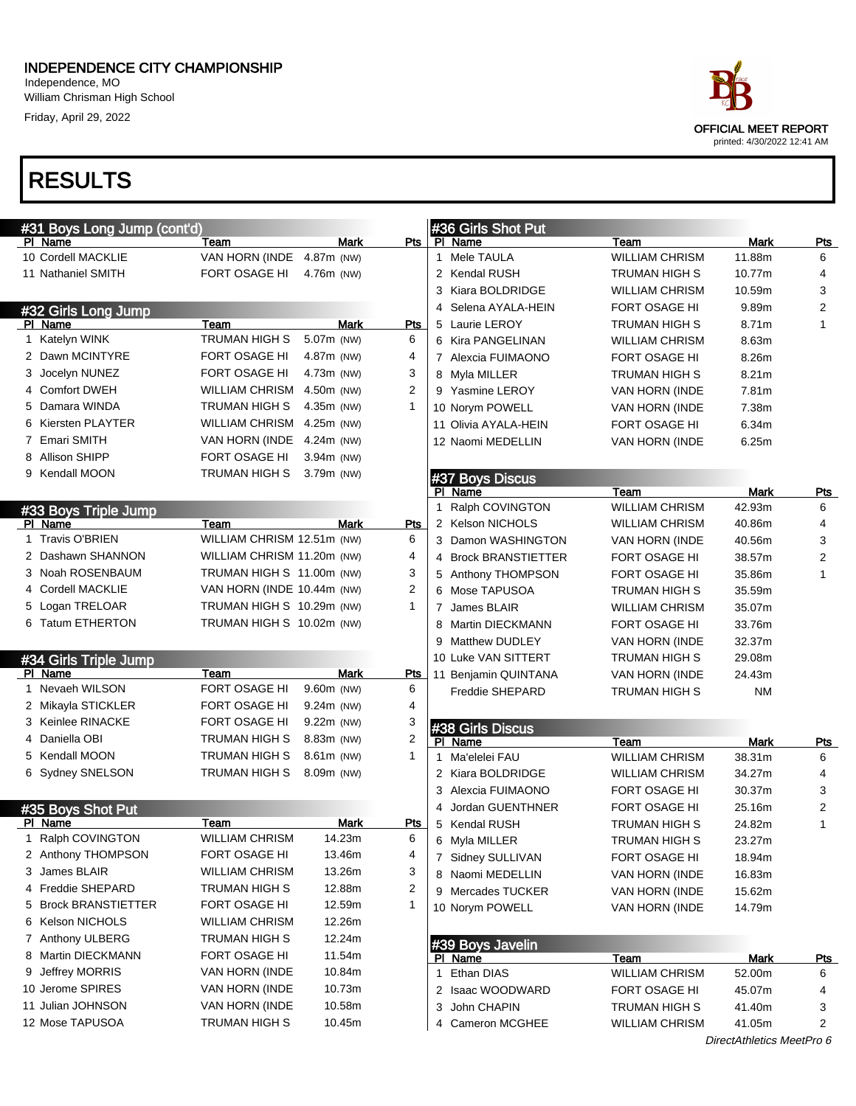#### INDEPENDENCE CITY CHAMPIONSHIP Independence, MO

William Chrisman High School Friday, April 29, 2022

| ace                                                        |  |
|------------------------------------------------------------|--|
| <b>OFFICIAL MEET REPORT</b><br>printed: 4/30/2022 12:41 AM |  |

| #31 Boys Long Jump (cont'd)  |                            |              |                |   | #36 Girls Shot Put          |                       |                           |            |
|------------------------------|----------------------------|--------------|----------------|---|-----------------------------|-----------------------|---------------------------|------------|
| PI Name                      | Team                       | Mark         | Pts            |   | PI Name                     | Team                  | Mark                      | Pts        |
| 10 Cordell MACKLIE           | VAN HORN (INDE             | 4.87m (NW)   |                |   | 1 Mele TAULA                | <b>WILLIAM CHRISM</b> | 11.88m                    | 6          |
| 11 Nathaniel SMITH           | FORT OSAGE HI              | 4.76m (NW)   |                |   | 2 Kendal RUSH               | <b>TRUMAN HIGH S</b>  | 10.77m                    | 4          |
|                              |                            |              |                |   | 3 Kiara BOLDRIDGE           | <b>WILLIAM CHRISM</b> | 10.59m                    | 3          |
| #32 Girls Long Jump          |                            |              |                |   | 4 Selena AYALA-HEIN         | FORT OSAGE HI         | 9.89m                     | 2          |
| PI Name                      | Team                       | Mark         | Pts            |   | 5 Laurie LEROY              | TRUMAN HIGH S         | 8.71m                     | 1          |
| 1 Katelyn WINK               | TRUMAN HIGH S              | 5.07m (NW)   | 6              |   | 6 Kira PANGELINAN           | <b>WILLIAM CHRISM</b> | 8.63m                     |            |
| 2 Dawn MCINTYRE              | FORT OSAGE HI              | 4.87m (NW)   | 4              |   | 7 Alexcia FUIMAONO          | FORT OSAGE HI         | 8.26m                     |            |
| 3 Jocelyn NUNEZ              | FORT OSAGE HI              | 4.73m (NW)   | 3              |   | 8 Myla MILLER               | TRUMAN HIGH S         | 8.21 <sub>m</sub>         |            |
| 4 Comfort DWEH               | <b>WILLIAM CHRISM</b>      | 4.50m (NW)   | 2              |   | 9 Yasmine LEROY             | VAN HORN (INDE        | 7.81m                     |            |
| 5 Damara WINDA               | TRUMAN HIGH S              | 4.35m (NW)   | 1              |   | 10 Norym POWELL             | <b>VAN HORN (INDE</b> | 7.38m                     |            |
| 6 Kiersten PLAYTER           | WILLIAM CHRISM             | 4.25m (NW)   |                |   | 11 Olivia AYALA-HEIN        | FORT OSAGE HI         | 6.34m                     |            |
| 7 Emari SMITH                | VAN HORN (INDE             | 4.24m (NW)   |                |   | 12 Naomi MEDELLIN           | VAN HORN (INDE        | 6.25m                     |            |
| <b>Allison SHIPP</b>         | FORT OSAGE HI              | 3.94m (NW)   |                |   |                             |                       |                           |            |
| 9 Kendall MOON               | <b>TRUMAN HIGH S</b>       | 3.79m (NW)   |                |   | #37 Boys Discus             |                       |                           |            |
|                              |                            |              |                |   | PI Name                     | Team                  | Mark                      | <b>Pts</b> |
| #33 Boys Triple Jump         |                            |              |                |   | 1 Ralph COVINGTON           | <b>WILLIAM CHRISM</b> | 42.93m                    | 6          |
| PI Name                      | Team                       | Mark         | Pts            |   | 2 Kelson NICHOLS            | <b>WILLIAM CHRISM</b> | 40.86m                    | 4          |
| 1 Travis O'BRIEN             | WILLIAM CHRISM 12.51m (NW) |              | 6              |   | 3 Damon WASHINGTON          | VAN HORN (INDE        | 40.56m                    | 3          |
| 2 Dashawn SHANNON            | WILLIAM CHRISM 11.20m (NW) |              | 4              |   | 4 Brock BRANSTIETTER        | FORT OSAGE HI         | 38.57m                    | 2          |
| 3 Noah ROSENBAUM             | TRUMAN HIGH S 11.00m (NW)  |              | 3              |   | 5 Anthony THOMPSON          | <b>FORT OSAGE HI</b>  | 35.86m                    | 1          |
| 4 Cordell MACKLIE            | VAN HORN (INDE 10.44m (NW) |              | $\overline{2}$ |   | 6 Mose TAPUSOA              | TRUMAN HIGH S         | 35.59m                    |            |
| 5 Logan TRELOAR              | TRUMAN HIGH S 10.29m (NW)  |              | 1              |   | 7 James BLAIR               | <b>WILLIAM CHRISM</b> | 35.07m                    |            |
| 6 Tatum ETHERTON             | TRUMAN HIGH S 10.02m (NW)  |              |                | 8 | Martin DIECKMANN            | FORT OSAGE HI         | 33.76m                    |            |
|                              |                            |              |                |   | 9 Matthew DUDLEY            | VAN HORN (INDE        | 32.37m                    |            |
| #34 Girls Triple Jump        |                            |              |                |   | 10 Luke VAN SITTERT         | TRUMAN HIGH S         | 29.08m                    |            |
| PI Name                      | Team                       | <b>Mark</b>  | Pts            |   | 11 Benjamin QUINTANA        | VAN HORN (INDE        | 24.43m                    |            |
| 1 Nevaeh WILSON              | FORT OSAGE HI              | 9.60m (NW)   | 6              |   | <b>Freddie SHEPARD</b>      | TRUMAN HIGH S         | <b>NM</b>                 |            |
| 2 Mikayla STICKLER           | FORT OSAGE HI              | $9.24m$ (NW) | 4              |   |                             |                       |                           |            |
| 3 Keinlee RINACKE            | FORT OSAGE HI              | $9.22m$ (NW) | 3              |   |                             |                       |                           |            |
| 4 Daniella OBI               | TRUMAN HIGH S              | 8.83m (NW)   | 2              |   | #38 Girls Discus<br>PI Name | Team                  | Mark                      | <u>Pts</u> |
| 5 Kendall MOON               | <b>TRUMAN HIGH S</b>       | 8.61m (NW)   | 1              |   | 1 Ma'elelei FAU             | <b>WILLIAM CHRISM</b> | 38.31m                    | 6          |
| 6 Sydney SNELSON             | <b>TRUMAN HIGH S</b>       | 8.09m (NW)   |                |   | 2 Kiara BOLDRIDGE           | <b>WILLIAM CHRISM</b> | 34.27m                    | 4          |
|                              |                            |              |                |   | 3 Alexcia FUIMAONO          | FORT OSAGE HI         | 30.37m                    | 3          |
|                              |                            |              |                | 4 | Jordan GUENTHNER            | <b>FORT OSAGE HI</b>  | 25.16m                    | 2          |
| #35 Boys Shot Put<br>PI Name | Team                       | <b>Mark</b>  | <u>Pts</u>     |   | 5 Kendal RUSH               | TRUMAN HIGH S         | 24.82m                    |            |
| 1 Ralph COVINGTON            | <b>WILLIAM CHRISM</b>      | 14.23m       | 6              |   | 6 Myla MILLER               | TRUMAN HIGH S         | 23.27m                    |            |
| 2 Anthony THOMPSON           | FORT OSAGE HI              | 13.46m       | 4              |   |                             |                       |                           |            |
| 3 James BLAIR                | <b>WILLIAM CHRISM</b>      | 13.26m       | 3              |   | 7 Sidney SULLIVAN           | FORT OSAGE HI         | 18.94m                    |            |
| 4 Freddie SHEPARD            | <b>TRUMAN HIGH S</b>       | 12.88m       | 2              |   | 8 Naomi MEDELLIN            | VAN HORN (INDE        | 16.83m                    |            |
| 5 Brock BRANSTIETTER         | FORT OSAGE HI              | 12.59m       | 1              |   | 9 Mercades TUCKER           | VAN HORN (INDE        | 15.62m                    |            |
|                              |                            |              |                |   | 10 Norym POWELL             | VAN HORN (INDE        | 14.79m                    |            |
| 6 Kelson NICHOLS             | WILLIAM CHRISM             | 12.26m       |                |   |                             |                       |                           |            |
| 7 Anthony ULBERG             | <b>TRUMAN HIGH S</b>       | 12.24m       |                |   | #39 Boys Javelin            |                       |                           |            |
| 8 Martin DIECKMANN           | FORT OSAGE HI              | 11.54m       |                |   | PI Name                     | Team                  | <b>Mark</b>               | <u>Pts</u> |
| 9 Jeffrey MORRIS             | VAN HORN (INDE             | 10.84m       |                |   | 1 Ethan DIAS                | <b>WILLIAM CHRISM</b> | 52.00m                    | 6          |
| 10 Jerome SPIRES             | VAN HORN (INDE             | 10.73m       |                |   | 2 Isaac WOODWARD            | FORT OSAGE HI         | 45.07m                    | 4          |
| 11 Julian JOHNSON            | VAN HORN (INDE             | 10.58m       |                |   | 3 John CHAPIN               | <b>TRUMAN HIGH S</b>  | 41.40m                    | 3          |
| 12 Mose TAPUSOA              | TRUMAN HIGH S              | 10.45m       |                |   | 4 Cameron MCGHEE            | <b>WILLIAM CHRISM</b> | 41.05m                    | 2          |
|                              |                            |              |                |   |                             |                       | DirectAthletics MeetPro 6 |            |